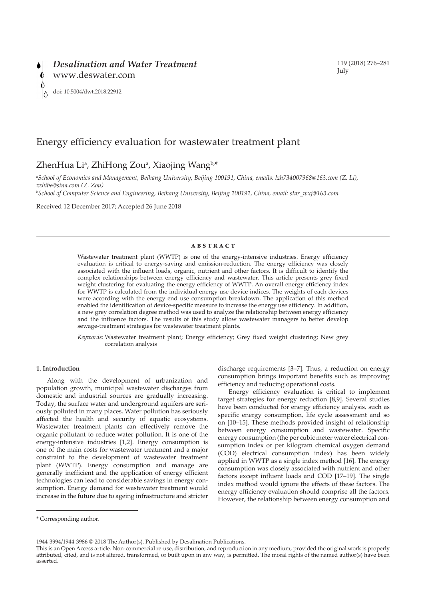# Energy efficiency evaluation for wastewater treatment plant

# ZhenHua Li<sup>a</sup>, ZhiHong Zou<sup>a</sup>, Xiaojing Wang<sup>b,\*</sup>

*a School of Economics and Management, Beihang University, Beijing 100191, China, emails: lzh734007968@163.com (Z. Li), zzhibe@sina.com (Z. Zou)*

*b School of Computer Science and Engineering, Beihang University, Beijing 100191, China, email: star\_wxj@163.com*

Received 12 December 2017; Accepted 26 June 2018

# **abstract**

Wastewater treatment plant (WWTP) is one of the energy-intensive industries. Energy efficiency evaluation is critical to energy-saving and emission-reduction. The energy efficiency was closely associated with the influent loads, organic, nutrient and other factors. It is difficult to identify the complex relationships between energy efficiency and wastewater. This article presents grey fixed weight clustering for evaluating the energy efficiency of WWTP. An overall energy efficiency index for WWTP is calculated from the individual energy use device indices. The weights of each devices were according with the energy end use consumption breakdown. The application of this method enabled the identification of device-specific measure to increase the energy use efficiency. In addition, a new grey correlation degree method was used to analyze the relationship between energy efficiency and the influence factors. The results of this study allow wastewater managers to better develop sewage-treatment strategies for wastewater treatment plants.

*Keywords:* Wastewater treatment plant; Energy efficiency; Grey fixed weight clustering; New grey correlation analysis

# **1. Introduction**

Along with the development of urbanization and population growth, municipal wastewater discharges from domestic and industrial sources are gradually increasing. Today, the surface water and underground aquifers are seriously polluted in many places. Water pollution has seriously affected the health and security of aquatic ecosystems. Wastewater treatment plants can effectively remove the organic pollutant to reduce water pollution. It is one of the energy-intensive industries [1,2]. Energy consumption is one of the main costs for wastewater treatment and a major constraint to the development of wastewater treatment plant (WWTP). Energy consumption and manage are generally inefficient and the application of energy efficient technologies can lead to considerable savings in energy consumption. Energy demand for wastewater treatment would increase in the future due to ageing infrastructure and stricter

discharge requirements [3–7]. Thus, a reduction on energy consumption brings important benefits such as improving efficiency and reducing operational costs.

Energy efficiency evaluation is critical to implement target strategies for energy reduction [8,9]. Several studies have been conducted for energy efficiency analysis, such as specific energy consumption, life cycle assessment and so on [10–15]. These methods provided insight of relationship between energy consumption and wastewater. Specific energy consumption (the per cubic meter water electrical consumption index or per kilogram chemical oxygen demand (COD) electrical consumption index) has been widely applied in WWTP as a single index method [16]. The energy consumption was closely associated with nutrient and other factors except influent loads and COD [17–19]. The single index method would ignore the effects of these factors. The energy efficiency evaluation should comprise all the factors. However, the relationship between energy consumption and

1944-3994/1944-3986 © 2018 The Author(s). Published by Desalination Publications.

119 (2018) 276–281 July

<sup>\*</sup> Corresponding author.

This is an Open Access article. Non-commercial re-use, distribution, and reproduction in any medium, provided the original work is properly attributed, cited, and is not altered, transformed, or built upon in any way, is permitted. The moral rights of the named author(s) have been asserted.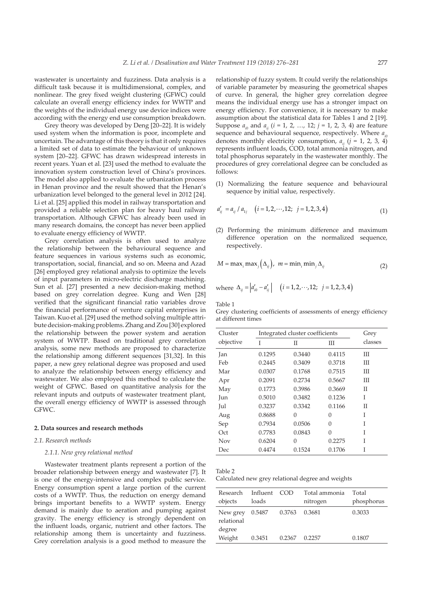wastewater is uncertainty and fuzziness. Data analysis is a difficult task because it is multidimensional, complex, and nonlinear. The grey fixed weight clustering (GFWC) could calculate an overall energy efficiency index for WWTP and the weights of the individual energy use device indices were according with the energy end use consumption breakdown.

Grey theory was developed by Deng [20–22]. It is widely used system when the information is poor, incomplete and uncertain. The advantage of this theory is that it only requires a limited set of data to estimate the behaviour of unknown system [20–22]. GFWC has drawn widespread interests in recent years. Yuan et al. [23] used the method to evaluate the innovation system construction level of China's provinces. The model also applied to evaluate the urbanization process in Henan province and the result showed that the Henan's urbanization level belonged to the general level in 2012 [24]. Li et al. [25] applied this model in railway transportation and provided a reliable selection plan for heavy haul railway transportation. Although GFWC has already been used in many research domains, the concept has never been applied to evaluate energy efficiency of WWTP.

Grey correlation analysis is often used to analyze the relationship between the behavioural sequence and feature sequences in various systems such as economic, transportation, social, financial, and so on. Meena and Azad [26] employed grey relational analysis to optimize the levels of input parameters in micro-electric discharge machining. Sun et al. [27] presented a new decision-making method based on grey correlation degree. Kung and Wen [28] verified that the significant financial ratio variables drove the financial performance of venture capital enterprises in Taiwan. Kuo et al. [29] used the method solving multiple attribute decision-making problems. Zhang and Zou [30] explored the relationship between the power system and aeration system of WWTP. Based on traditional grey correlation analysis, some new methods are proposed to characterize the relationship among different sequences [31,32]. In this paper, a new grey relational degree was proposed and used to analyze the relationship between energy efficiency and wastewater. We also employed this method to calculate the weight of GFWC. Based on quantitative analysis for the relevant inputs and outputs of wastewater treatment plant, the overall energy efficiency of WWTP is assessed through GFWC.

#### **2. Data sources and research methods**

## *2.1. Research methods*

## *2.1.1. New grey relational method*

Wastewater treatment plants represent a portion of the broader relationship between energy and wastewater [7]. It is one of the energy-intensive and complex public service. Energy consumption spent a large portion of the current costs of a WWTP. Thus, the reduction on energy demand brings important benefits to a WWTP system. Energy demand is mainly due to aeration and pumping against gravity. The energy efficiency is strongly dependent on the influent loads, organic, nutrient and other factors. The relationship among them is uncertainty and fuzziness. Grey correlation analysis is a good method to measure the

relationship of fuzzy system. It could verify the relationships of variable parameter by measuring the geometrical shapes of curve. In general, the higher grey correlation degree means the individual energy use has a stronger impact on energy efficiency. For convenience, it is necessary to make assumption about the statistical data for Tables 1 and 2 [19]. Suppose  $a_{i0}$  and  $a_{ij}$  ( $i = 1, 2, ..., 12; j = 1, 2, 3, 4$ ) are feature sequence and behavioural sequence, respectively. Where  $a_{\infty}$ denotes monthly electricity consumption,  $a_{ij}$  ( $j = 1, 2, 3, 4$ ) represents influent loads, COD, total ammonia nitrogen, and total phosphorus separately in the wastewater monthly. The procedures of grey correlational degree can be concluded as follows:

(1) Normalizing the feature sequence and behavioural sequence by initial value, respectively.

$$
a'_{ij} = a_{ij} / a_{1j} \quad (i = 1, 2, \cdots, 12; \ j = 1, 2, 3, 4)
$$
 (1)

(2) Performing the minimum difference and maximum difference operation on the normalized sequence, respectively.

$$
M = \max_{i} \max_{j} (\Delta_{ij}), \ m = \min_{i} \min_{j} \Delta_{ij}
$$
 (2)

where 
$$
\Delta_{ij} = |a'_{i0} - a'_{ij}|
$$
  $(i = 1, 2, \dots, 12; j = 1, 2, 3, 4)$ 

Table 1

Grey clustering coefficients of assessments of energy efficiency at different times

| Cluster   | Integrated cluster coefficients |        | Grey   |         |
|-----------|---------------------------------|--------|--------|---------|
| objective | Ī                               | П      | Ш      | classes |
| Jan       | 0.1295                          | 0.3440 | 0.4115 | Ш       |
| Feb       | 0.2445                          | 0.3409 | 0.3718 | Ш       |
| Mar       | 0.0307                          | 0.1768 | 0.7515 | Ш       |
| Apr       | 0.2091                          | 0.2734 | 0.5667 | Ш       |
| May       | 0.1773                          | 0.3986 | 0.3669 | Н       |
| Jun       | 0.5010                          | 0.3482 | 0.1236 | T       |
| Jul       | 0.3237                          | 0.3342 | 0.1166 | Н       |
| Aug       | 0.8688                          | 0      | 0      | Ī       |
| Sep       | 0.7934                          | 0.0506 | 0      | Ī       |
| Oct       | 0.7783                          | 0.0843 | 0      | I       |
| Nov       | 0.6204                          | 0      | 0.2275 | Ī       |
| Dec       | 0.4474                          | 0.1524 | 0.1706 | T       |
|           |                                 |        |        |         |

Table 2

Calculated new grey relational degree and weights

| Research               | Influent | - COD  | Total ammonia | Total      |
|------------------------|----------|--------|---------------|------------|
| objects                | loads    |        | nitrogen      | phosphorus |
| New grey<br>relational | 0.5487   | 0.3763 | 0.3681        | 0.3033     |
| degree<br>Weight       | 0.3451   | 0.2367 | 0.2257        | 0.1807     |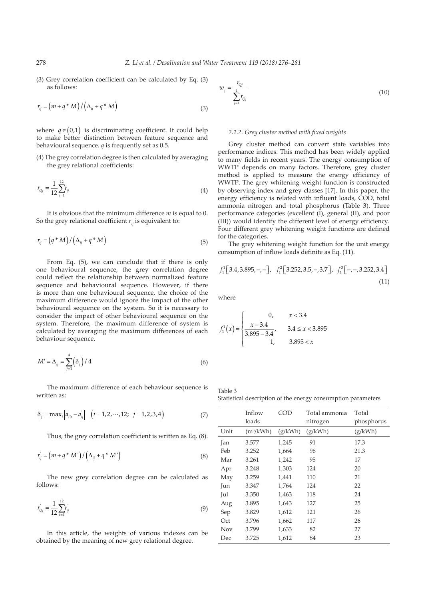(3) Grey correlation coefficient can be calculated by Eq. (3) as follows:

$$
r_{ij} = (m + q * M) / (\Delta_{ij} + q * M)
$$
 (3)

where  $q \in (0,1)$  is discriminating coefficient. It could help to make better distinction between feature sequence and behavioural sequence. *q* is frequently set as 0.5.

(4) The grey correlation degree is then calculated by averaging the grey relational coefficients:

$$
r_{Qj} = \frac{1}{12} \sum_{i=1}^{12} r_{ij}
$$
 (4)

It is obvious that the minimum difference *m* is equal to 0. So the grey relational coefficient  $r_{ii}$  is equivalent to:

$$
r_{ij} = (q * M) / (\Delta_{ij} + q * M)
$$
\n<sup>(5)</sup>

From Eq. (5), we can conclude that if there is only one behavioural sequence, the grey correlation degree could reflect the relationship between normalized feature sequence and behavioural sequence. However, if there is more than one behavioural sequence, the choice of the maximum difference would ignore the impact of the other behavioural sequence on the system. So it is necessary to consider the impact of other behavioural sequence on the system. Therefore, the maximum difference of system is calculated by averaging the maximum differences of each behaviour sequence.

$$
M' = \Delta_{ij} = \sum_{j=1}^{4} (\delta_j) / 4
$$
 (6)

The maximum difference of each behaviour sequence is written as:

$$
\delta_j = \max_i |a_{i0} - a_{ij}| \quad (i = 1, 2, \cdots, 12; \ \ j = 1, 2, 3, 4)
$$
 (7)

Thus, the grey correlation coefficient is written as Eq. (8).

$$
r_{ij} = (m + q * M') / (\Delta_{ij} + q * M') \tag{8}
$$

The new grey correlation degree can be calculated as follows:

$$
r_{Qj} = \frac{1}{12} \sum_{i=1}^{12} r_{ij}
$$
 (9)

In this article, the weights of various indexes can be obtained by the meaning of new grey relational degree.

$$
w_j = \frac{r_{Qj}}{\sum_{j=1}^{4} r_{Qj}}
$$
(10)

#### *2.1.2. Grey cluster method with fixed weights*

Grey cluster method can convert state variables into performance indices. This method has been widely applied to many fields in recent years. The energy consumption of WWTP depends on many factors. Therefore, grey cluster method is applied to measure the energy efficiency of WWTP. The grey whitening weight function is constructed by observing index and grey classes [17]. In this paper, the energy efficiency is related with influent loads, COD, total ammonia nitrogen and total phosphorus (Table 3). Three performance categories (excellent (I), general (II), and poor (III)) would identify the different level of energy efficiency. Four different grey whitening weight functions are defined for the categories.

The grey whitening weight function for the unit energy consumption of inflow loads definite as Eq. (11).

$$
f_1^1[3.4, 3.895, -, -], f_1^2[3.252, 3.5, -, 3.7], f_1^3[-, -, 3.252, 3.4]
$$
\n(11)

where

$$
f_1^1(x) = \begin{cases} 0, & x < 3.4\\ \frac{x - 3.4}{3.895 - 3.4}, & 3.4 \le x < 3.895\\ 1, & 3.895 < x \end{cases}
$$

Table 3 Statistical description of the energy consumption parameters

|      | Inflow<br>loads | COD     | Total ammonia<br>nitrogen | Total<br>phosphorus |
|------|-----------------|---------|---------------------------|---------------------|
| Unit | $(m^3/kWh)$     | (g/kWh) | (g/kWh)                   | (g/kWh)             |
| Jan  | 3.577           | 1,245   | 91                        | 17.3                |
| Feb  | 3.252           | 1,664   | 96                        | 21.3                |
| Mar  | 3.261           | 1,242   | 95                        | 17                  |
| Apr  | 3.248           | 1,303   | 124                       | 20                  |
| May  | 3.259           | 1,441   | 110                       | 21                  |
| Jun  | 3.347           | 1,764   | 124                       | 22                  |
| Jul  | 3.350           | 1,463   | 118                       | 24                  |
| Aug  | 3.895           | 1,643   | 127                       | 25                  |
| Sep  | 3.829           | 1,612   | 121                       | 26                  |
| Oct  | 3.796           | 1,662   | 117                       | 26                  |
| Nov  | 3.799           | 1,633   | 82                        | 27                  |
| Dec  | 3.725           | 1,612   | 84                        | 23                  |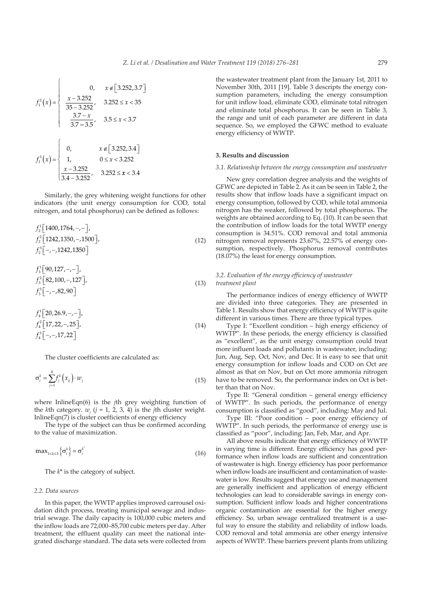$$
f_1^2(x) = \begin{cases} 0, & x \in [3.252, 3.7] \\ \frac{x - 3.252}{35 - 3.252}, & 3.252 \le x < 35 \\ \frac{3.7 - x}{3.7 - 3.5}, & 3.5 \le x < 3.7 \end{cases}
$$

$$
f_1^3(x) = \begin{cases} 0, & x \in [3.252, 3.4] \\ 1, & 0 \le x < 3.252 \\ \frac{x - 3.252}{3.4 - 3.252}, & 3.252 \le x < 3.4 \end{cases}
$$

Similarly, the grey whitening weight functions for other indicators (the unit energy consumption for COD, total nitrogen, and total phosphorus) can be defined as follows:

$$
f_2^1[1400, 1764, -, -],\n f_2^2[1242, 1350, -, 1500],\n f_2^3[-, -, 1242, 1350]
$$
\n(12)

$$
f_3^1[90,127,-,-],\n f_3^2[82,100,-,127],\n f_3^3[-,-,82,90]
$$
\n(13)

$$
f_4^1 \left[ 20, 26.9, -, - \right],
$$
  
\n
$$
f_4^2 \left[ 17, 22, -, 25 \right],
$$
  
\n
$$
f_4^3 \left[ -, -, 17, 22 \right]
$$
\n(14)

The cluster coefficients are calculated as:

$$
\sigma_i^k = \sum_{j=1}^4 f_j^k \left( x_{ij} \right) \cdot w_j \tag{15}
$$

where InlineEqn(6) is the *j*th grey weighting function of the *k*th category.  $w_j$  ( $j = 1, 2, 3, 4$ ) is the *j*th cluster weight. InlineEqn(7) is cluster coefficients of energy efficiency

The type of the subject can thus be confirmed according to the value of maximization.

$$
\max_{1 \le k \le 3} {\sigma_i^k} = {\sigma_i^k} \tag{16}
$$

The *k*\* is the category of subject.

### *2.2. Data sources*

In this paper, the WWTP applies improved carrousel oxidation ditch process, treating municipal sewage and industrial sewage. The daily capacity is 100,000 cubic meters and the inflow loads are 72,000–85,700 cubic meters per day. After treatment, the effluent quality can meet the national integrated discharge standard. The data sets were collected from

the wastewater treatment plant from the January 1st, 2011 to November 30th, 2011 [19]. Table 3 descripts the energy consumption parameters, including the energy consumption for unit inflow load, eliminate COD, eliminate total nitrogen and eliminate total phosphorus. It can be seen in Table 3, the range and unit of each parameter are different in data sequence. So, we employed the GFWC method to evaluate energy efficiency of WWTP.

## **3. Results and discussion**

## *3.1. Relationship between the energy consumption and wastewater*

New grey correlation degree analysis and the weights of GFWC are depicted in Table 2. As it can be seen in Table 2, the results show that inflow loads have a significant impact on energy consumption, followed by COD, while total ammonia nitrogen has the weaker, followed by total phosphorus. The weights are obtained according to Eq. (10). It can be seen that the contribution of inflow loads for the total WWTP energy consumption is 34.51%. COD removal and total ammonia nitrogen removal represents 23.67%, 22.57% of energy consumption, respectively. Phosphorus removal contributes (18.07%) the least for energy consumption.

# *3.2. Evaluation of the energy efficiency of wastewater treatment plant*

The performance indices of energy efficiency of WWTP are divided into three categories. They are presented in Table 1. Results show that energy efficiency of WWTP is quite different in various times. There are three typical types.

Type I: "Excellent condition – high energy efficiency of WWTP". In these periods, the energy efficiency is classified as "excellent", as the unit energy consumption could treat more influent loads and pollutants in wastewater, including: Jun, Aug, Sep, Oct, Nov, and Dec. It is easy to see that unit energy consumption for inflow loads and COD on Oct are almost as that on Nov, but on Oct more ammonia nitrogen have to be removed. So, the performance index on Oct is better than that on Nov.

Type II: "General condition – general energy efficiency of WWTP". In such periods, the performance of energy consumption is classified as "good", including: May and Jul.

Type III: "Poor condition – poor energy efficiency of WWTP". In such periods, the performance of energy use is classified as "poor", including: Jan, Feb, Mar, and Apr.

All above results indicate that energy efficiency of WWTP in varying time is different. Energy efficiency has good performance when inflow loads are sufficient and concentration of wastewater is high. Energy efficiency has poor performance when inflow loads are insufficient and contamination of wastewater is low. Results suggest that energy use and management are generally inefficient and application of energy efficient technologies can lead to considerable savings in energy consumption. Sufficient inflow loads and higher concentrations organic contamination are essential for the higher energy efficiency. So, urban sewage centralized treatment is a useful way to ensure the stability and reliability of inflow loads. COD removal and total ammonia are other energy intensive aspects of WWTP. These barriers prevent plants from utilizing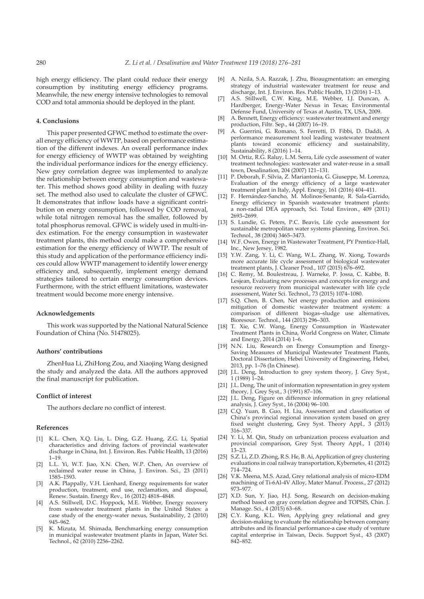high energy efficiency. The plant could reduce their energy consumption by instituting energy efficiency programs. Meanwhile, the new energy intensive technologies to removal COD and total ammonia should be deployed in the plant.

## **4. Conclusions**

This paper presented GFWC method to estimate the overall energy efficiency of WWTP, based on performance estimation of the different indexes. An overall performance index for energy efficiency of WWTP was obtained by weighting the individual performance indices for the energy efficiency. New grey correlation degree was implemented to analyze the relationship between energy consumption and wastewater. This method shows good ability in dealing with fuzzy set. The method also used to calculate the cluster of GFWC. It demonstrates that inflow loads have a significant contribution on energy consumption, followed by COD removal, while total nitrogen removal has the smaller, followed by total phosphorus removal. GFWC is widely used in multi-index estimation. For the energy consumption in wastewater treatment plants, this method could make a comprehensive estimation for the energy efficiency of WWTP. The result of this study and application of the performance efficiency indices could allow WWTP management to identify lower energy efficiency and, subsequently, implement energy demand strategies tailored to certain energy consumption devices. Furthermore, with the strict effluent limitations, wastewater treatment would become more energy intensive.

#### **Acknowledgements**

This work was supported by the National Natural Science Foundation of China (No. 51478025).

#### **Authors' contributions**

ZhenHua Li, ZhiHong Zou, and Xiaojing Wang designed the study and analyzed the data. All the authors approved the final manuscript for publication.

## **Conflict of interest**

The authors declare no conflict of interest.

#### **References**

- [1] K.L. Chen, X.Q. Liu, L. Ding, G.Z. Huang, Z.G. Li, Spatial characteristics and driving factors of provincial wastewater discharge in China, Int. J. Environ. Res. Public Health, 13 (2016) 1–19.
- [2] L.L. Yi, W.T. Jiao, X.N. Chen, W.P. Chen, An overview of reclaimed water reuse in China, J. Environ. Sci., 23 (2011) 1585–1593.
- [3] A.K. Plappally, V.H. Lienhard, Energy requirements for water production, treatment, end use, reclamation, and disposal, Renew. Sustain. Energy Rev., 16 (2012) 4818–4848.
- [4] A.S. Stillwell, D.C. Hoppock, M.E. Webber, Energy recovery from wastewater treatment plants in the United States: a case study of the energy-water nexus, Sustainability, 2 (2010) 945–962.
- [5] K. Mizuta, M. Shimada, Benchmarking energy consumption in municipal wastewater treatment plants in Japan, Water Sci. Technol., 62 (2010) 2256–2262.
- [6] A. Nzila, S.A. Razzak, J. Zhu, Bioaugmentation: an emerging strategy of industrial wastewater treatment for reuse and discharge, Int. J. Environ. Res. Public Health, 13 (2016) 1–13.
- [7] A.S. Stillwell, C.W. King, M.E. Webber, I.J. Duncan, A. Hardberger, Energy-Water Nexus in Texas; Environmental Defense Fund, University of Texas at Austin, TX, USA, 2009.
- [8] A. Bennett, Energy efficiency: wastewater treatment and energy production, Filtr. Sep., 44 (2007) 16–19.
- [9] A. Guerrini, G. Romano, S. Ferretti, D. Fibbi, D. Daddi, A performance measurement tool leading wastewater treatment plants toward economic efficiency and sustainability, Sustainability, 8 (2016) 1–14.
- [10] M. Ortiz, R.G. Raluy, L.M. Serra, Life cycle assessment of water treatment technologies: wastewater and water-reuse in a small town, Desalination, 204 (2007) 121–131.
- [11] P. Deborah, F. Silvia, Z. Mariantonia, G. Giuseppe, M. Lorenza, Evaluation of the energy efficiency of a large wastewater treatment plant in Italy, Appl. Energy, 161 (2016) 404–411.
- [12] F. Hernández-Sancho, M. Molinos-Senante, R. Sala-Garrido, Energy efficiency in Spanish wastewater treatment plants: a non-radial DEA approach, Sci. Total Environ., 409 (2011) 2693–2699.
- [13] S. Lundie, G. Peters, P.C. Beavis, Life cycle assessment for sustainable metropolitan water systems planning, Environ. Sci. Technol., 38 (2004) 3465–3473.
- [14] W.F. Owen, Energy in Wastewater Treatment, PY Prentice-Hall, Inc., New Jersey, 1982.
- [15] Y.W. Zang, Y. Li, C. Wang, W.L. Zhang, W. Xiong, Towards more accurate life cycle assessment of biological wastewater treatment plants, J. Cleaner Prod., 107 (2015) 676–692.
- [16] C. Remy, M. Boulestreau, J. Warneke, P. Jossa, C. Kabbe, B. Lesjean, Evaluating new processes and concepts for energy and resource recovery from municipal wastewater with life cycle assessment, Water Sci. Technol., 73 (2015) 1074–1080.
- [17] S.Q. Chen, B. Chen, Net energy production and emissions mitigation of domestic wastewater treatment system: a comparison of different biogas–sludge use alternatives, Bioresour. Technol., 144 (2013) 296–303.
- [18] T. Xie, C.W. Wang, Energy Consumption in Wastewater Treatment Plants in China, World Congress on Water, Climate and Energy, 2014 (2014) 1–6.
- [19] N.N. Liu, Research on Energy Consumption and Energy-Saving Measures of Municipal Wastewater Treatment Plants, Doctoral Dissertation, Hebei University of Engineering, Hebei, 2013, pp. 1–76 (In Chinese).
- [20] J.L. Deng, Introduction to grey system theory, J. Grey Syst., 1 (1989) 1–24.
- [21] J.L. Deng, The unit of information representation in grey system theory, J. Grey Syst., 3 (1991) 87–106.
- [22] J.L. Deng, Figure on difference information in grey relational analysis, J. Grey Syst., 16 (2004) 96–100.
- [23] C.Q. Yuan, B. Guo, H. Liu, Assessment and classification of China's provincial regional innovation system based on grey fixed weight clustering, Grey Syst. Theory Appl., 3 (2013) 316–337.
- [24] Y. Li, M. Qin, Study on urbanization process evaluation and provincial comparison, Grey Syst. Theory Appl., 1 (2014) 13–23.
- [25] S.Z. Li, Z.D. Zhong, R.S. He, B. Ai, Application of grey clustering evaluations in coal railway transportation, Kybernetes, 41 (2012) 714–724.
- [26] V.K. Meena, M.S. Azad, Grey relational analysis of micro-EDM machining of Ti-6Al-4V Alloy, Mater Manuf. Process., 27 (2012) 973–977.
- [27] X.D. Sun, Y. Jiao, H.J. Song, Research on decision-making method based on gray correlation degree and TOPSIS, Chin. J. Manage. Sci., 4 (2015) 63–68.
- [28] C.Y. Kung, K.L. Wen, Applying grey relational and grey decision-making to evaluate the relationship between company attributes and its financial performance-a case study of venture capital enterprise in Taiwan, Decis. Support Syst., 43 (2007) 842–852.